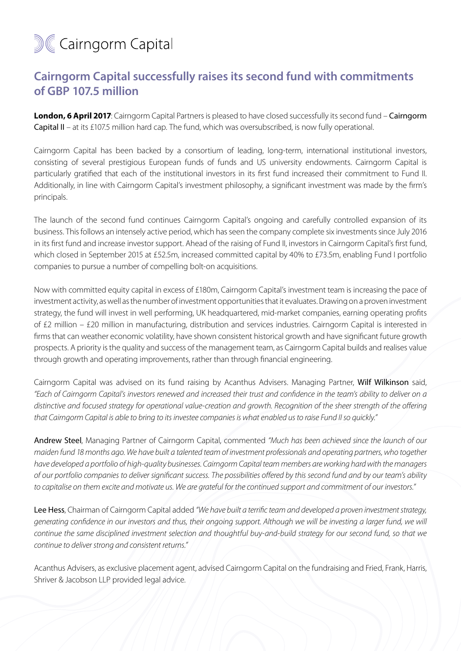## **M&Cairngorm Capital**

## **Cairngorm Capital successfully raises its second fund with commitments of GBP 107.5 million**

**London, 6 April 2017**: Cairngorm Capital Partners is pleased to have closed successfully its second fund – Cairngorm Capital II – at its £107.5 million hard cap. The fund, which was oversubscribed, is now fully operational.

Cairngorm Capital has been backed by a consortium of leading, long-term, international institutional investors, consisting of several prestigious European funds of funds and US university endowments. Cairngorm Capital is particularly gratified that each of the institutional investors in its first fund increased their commitment to Fund II. Additionally, in line with Cairngorm Capital's investment philosophy, a significant investment was made by the firm's principals.

The launch of the second fund continues Cairngorm Capital's ongoing and carefully controlled expansion of its business. This follows an intensely active period, which has seen the company complete six investments since July 2016 in its first fund and increase investor support. Ahead of the raising of Fund II, investors in Cairngorm Capital's first fund, which closed in September 2015 at £52.5m, increased committed capital by 40% to £73.5m, enabling Fund I portfolio companies to pursue a number of compelling bolt-on acquisitions.

Now with committed equity capital in excess of £180m, Cairngorm Capital's investment team is increasing the pace of investment activity, as well as the number of investment opportunities that it evaluates. Drawing on a proven investment strategy, the fund will invest in well performing, UK headquartered, mid-market companies, earning operating profits of £2 million – £20 million in manufacturing, distribution and services industries. Cairngorm Capital is interested in firms that can weather economic volatility, have shown consistent historical growth and have significant future growth prospects. A priority is the quality and success of the management team, as Cairngorm Capital builds and realises value through growth and operating improvements, rather than through financial engineering.

Cairngorm Capital was advised on its fund raising by Acanthus Advisers. Managing Partner, Wilf Wilkinson said, *"Each of Cairngorm Capital's investors renewed and increased their trust and confidence in the team's ability to deliver on a distinctive and focused strategy for operational value-creation and growth. Recognition of the sheer strength of the offering that Cairngorm Capital is able to bring to its investee companies is what enabled us to raise Fund II so quickly."*

Andrew Steel, Managing Partner of Cairngorm Capital, commented *"Much has been achieved since the launch of our maiden fund 18 months ago. We have built a talented team of investment professionals and operating partners, who together have developed a portfolio of high-quality businesses. Cairngorm Capital team members are working hard with the managers of our portfolio companies to deliver significant success. The possibilities offered by this second fund and by our team's ability to capitalise on them excite and motivate us. We are grateful for the continued support and commitment of our investors."* 

Lee Hess, Chairman of Cairngorm Capital added *"We have built a terrific team and developed a proven investment strategy, generating confidence in our investors and thus, their ongoing support. Although we will be investing a larger fund, we will continue the same disciplined investment selection and thoughtful buy-and-build strategy for our second fund, so that we continue to deliver strong and consistent returns."* 

Acanthus Advisers, as exclusive placement agent, advised Cairngorm Capital on the fundraising and Fried, Frank, Harris, Shriver & Jacobson LLP provided legal advice.